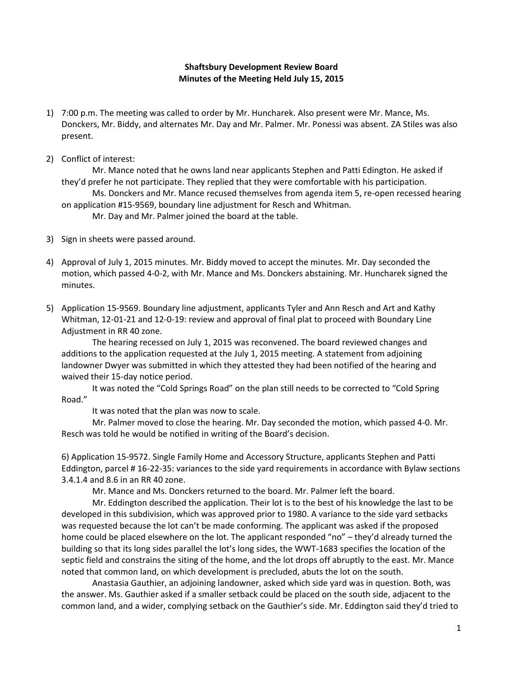## **Shaftsbury Development Review Board Minutes of the Meeting Held July 15, 2015**

- 1) 7:00 p.m. The meeting was called to order by Mr. Huncharek. Also present were Mr. Mance, Ms. Donckers, Mr. Biddy, and alternates Mr. Day and Mr. Palmer. Mr. Ponessi was absent. ZA Stiles was also present.
- 2) Conflict of interest:

Mr. Mance noted that he owns land near applicants Stephen and Patti Edington. He asked if they'd prefer he not participate. They replied that they were comfortable with his participation. Ms. Donckers and Mr. Mance recused themselves from agenda item 5, re-open recessed hearing on application #15-9569, boundary line adjustment for Resch and Whitman. Mr. Day and Mr. Palmer joined the board at the table.

- 3) Sign in sheets were passed around.
- 4) Approval of July 1, 2015 minutes. Mr. Biddy moved to accept the minutes. Mr. Day seconded the motion, which passed 4-0-2, with Mr. Mance and Ms. Donckers abstaining. Mr. Huncharek signed the minutes.
- 5) Application 15-9569. Boundary line adjustment, applicants Tyler and Ann Resch and Art and Kathy Whitman, 12-01-21 and 12-0-19: review and approval of final plat to proceed with Boundary Line Adjustment in RR 40 zone.

The hearing recessed on July 1, 2015 was reconvened. The board reviewed changes and additions to the application requested at the July 1, 2015 meeting. A statement from adjoining landowner Dwyer was submitted in which they attested they had been notified of the hearing and waived their 15-day notice period.

It was noted the "Cold Springs Road" on the plan still needs to be corrected to "Cold Spring Road."

It was noted that the plan was now to scale.

Mr. Palmer moved to close the hearing. Mr. Day seconded the motion, which passed 4-0. Mr. Resch was told he would be notified in writing of the Board's decision.

6) Application 15-9572. Single Family Home and Accessory Structure, applicants Stephen and Patti Eddington, parcel # 16-22-35: variances to the side yard requirements in accordance with Bylaw sections 3.4.1.4 and 8.6 in an RR 40 zone.

Mr. Mance and Ms. Donckers returned to the board. Mr. Palmer left the board.

Mr. Eddington described the application. Their lot is to the best of his knowledge the last to be developed in this subdivision, which was approved prior to 1980. A variance to the side yard setbacks was requested because the lot can't be made conforming. The applicant was asked if the proposed home could be placed elsewhere on the lot. The applicant responded "no" – they'd already turned the building so that its long sides parallel the lot's long sides, the WWT-1683 specifies the location of the septic field and constrains the siting of the home, and the lot drops off abruptly to the east. Mr. Mance noted that common land, on which development is precluded, abuts the lot on the south.

Anastasia Gauthier, an adjoining landowner, asked which side yard was in question. Both, was the answer. Ms. Gauthier asked if a smaller setback could be placed on the south side, adjacent to the common land, and a wider, complying setback on the Gauthier's side. Mr. Eddington said they'd tried to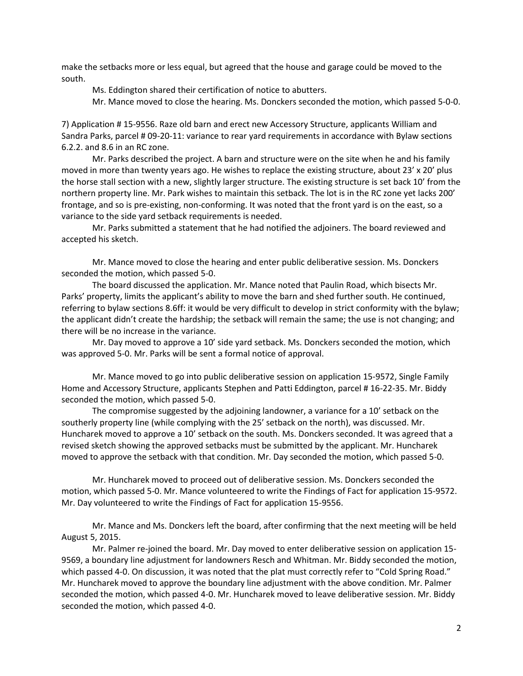make the setbacks more or less equal, but agreed that the house and garage could be moved to the south.

Ms. Eddington shared their certification of notice to abutters.

Mr. Mance moved to close the hearing. Ms. Donckers seconded the motion, which passed 5-0-0.

7) Application # 15-9556. Raze old barn and erect new Accessory Structure, applicants William and Sandra Parks, parcel # 09-20-11: variance to rear yard requirements in accordance with Bylaw sections 6.2.2. and 8.6 in an RC zone.

Mr. Parks described the project. A barn and structure were on the site when he and his family moved in more than twenty years ago. He wishes to replace the existing structure, about 23' x 20' plus the horse stall section with a new, slightly larger structure. The existing structure is set back 10' from the northern property line. Mr. Park wishes to maintain this setback. The lot is in the RC zone yet lacks 200' frontage, and so is pre-existing, non-conforming. It was noted that the front yard is on the east, so a variance to the side yard setback requirements is needed.

Mr. Parks submitted a statement that he had notified the adjoiners. The board reviewed and accepted his sketch.

Mr. Mance moved to close the hearing and enter public deliberative session. Ms. Donckers seconded the motion, which passed 5-0.

The board discussed the application. Mr. Mance noted that Paulin Road, which bisects Mr. Parks' property, limits the applicant's ability to move the barn and shed further south. He continued, referring to bylaw sections 8.6ff: it would be very difficult to develop in strict conformity with the bylaw; the applicant didn't create the hardship; the setback will remain the same; the use is not changing; and there will be no increase in the variance.

Mr. Day moved to approve a 10' side yard setback. Ms. Donckers seconded the motion, which was approved 5-0. Mr. Parks will be sent a formal notice of approval.

Mr. Mance moved to go into public deliberative session on application 15-9572, Single Family Home and Accessory Structure, applicants Stephen and Patti Eddington, parcel # 16-22-35. Mr. Biddy seconded the motion, which passed 5-0.

The compromise suggested by the adjoining landowner, a variance for a 10' setback on the southerly property line (while complying with the 25' setback on the north), was discussed. Mr. Huncharek moved to approve a 10' setback on the south. Ms. Donckers seconded. It was agreed that a revised sketch showing the approved setbacks must be submitted by the applicant. Mr. Huncharek moved to approve the setback with that condition. Mr. Day seconded the motion, which passed 5-0.

Mr. Huncharek moved to proceed out of deliberative session. Ms. Donckers seconded the motion, which passed 5-0. Mr. Mance volunteered to write the Findings of Fact for application 15-9572. Mr. Day volunteered to write the Findings of Fact for application 15-9556.

Mr. Mance and Ms. Donckers left the board, after confirming that the next meeting will be held August 5, 2015.

Mr. Palmer re-joined the board. Mr. Day moved to enter deliberative session on application 15- 9569, a boundary line adjustment for landowners Resch and Whitman. Mr. Biddy seconded the motion, which passed 4-0. On discussion, it was noted that the plat must correctly refer to "Cold Spring Road." Mr. Huncharek moved to approve the boundary line adjustment with the above condition. Mr. Palmer seconded the motion, which passed 4-0. Mr. Huncharek moved to leave deliberative session. Mr. Biddy seconded the motion, which passed 4-0.